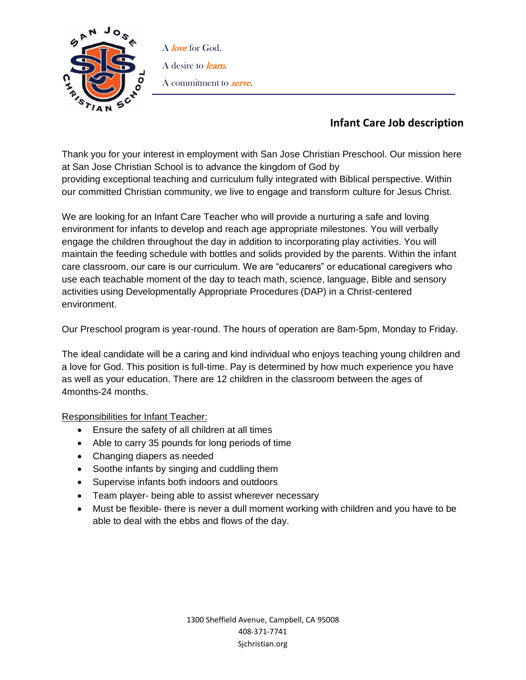

A love for God. A desire to *learn*. A commitment to **serve**.

## **Infant Care Job description**

Thank you for your interest in employment with San Jose Christian Preschool. Our mission here at San Jose Christian School is to advance the kingdom of God by providing exceptional teaching and curriculum fully integrated with Biblical perspective. Within our committed Christian community, we live to engage and transform culture for Jesus Christ.

We are looking for an Infant Care Teacher who will provide a nurturing a safe and loving environment for infants to develop and reach age appropriate milestones. You will verbally engage the children throughout the day in addition to incorporating play activities. You will maintain the feeding schedule with bottles and solids provided by the parents. Within the infant care classroom, our care is our curriculum. We are "educarers" or educational caregivers who use each teachable moment of the day to teach math, science, language, Bible and sensory activities using Developmentally Appropriate Procedures (DAP) in a Christ-centered environment.

Our Preschool program is year-round. The hours of operation are 8am-5pm, Monday to Friday.

The ideal candidate will be a caring and kind individual who enjoys teaching young children and a love for God. This position is full-time. Pay is determined by how much experience you have as well as your education. There are 12 children in the classroom between the ages of 4months-24 months.

Responsibilities for Infant Teacher:

- Ensure the safety of all children at all times
- Able to carry 35 pounds for long periods of time
- Changing diapers as needed
- Soothe infants by singing and cuddling them
- Supervise infants both indoors and outdoors
- Team player- being able to assist wherever necessary
- Must be flexible- there is never a dull moment working with children and you have to be able to deal with the ebbs and flows of the day.